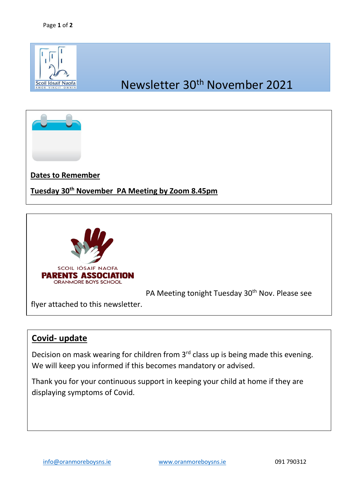





## **Covid- update**

Decision on mask wearing for children from 3<sup>rd</sup> class up is being made this evening. We will keep you informed if this becomes mandatory or advised.

Thank you for your continuous support in keeping your child at home if they are displaying symptoms of Covid.